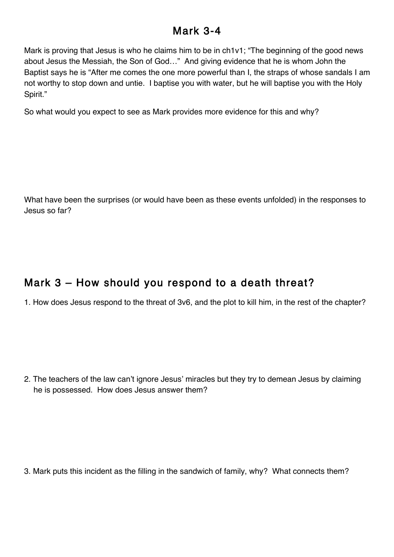## Mark 3-4

Mark is proving that Jesus is who he claims him to be in ch1v1; "The beginning of the good news about Jesus the Messiah, the Son of God…" And giving evidence that he is whom John the Baptist says he is "After me comes the one more powerful than I, the straps of whose sandals I am not worthy to stop down and untie. I baptise you with water, but he will baptise you with the Holy Spirit."

So what would you expect to see as Mark provides more evidence for this and why?

What have been the surprises (or would have been as these events unfolded) in the responses to Jesus so far?

## Mark 3 – How should you respond to a death threat?

1. How does Jesus respond to the threat of 3v6, and the plot to kill him, in the rest of the chapter?

2. The teachers of the law can't ignore Jesus' miracles but they try to demean Jesus by claiming he is possessed. How does Jesus answer them?

3. Mark puts this incident as the filling in the sandwich of family, why? What connects them?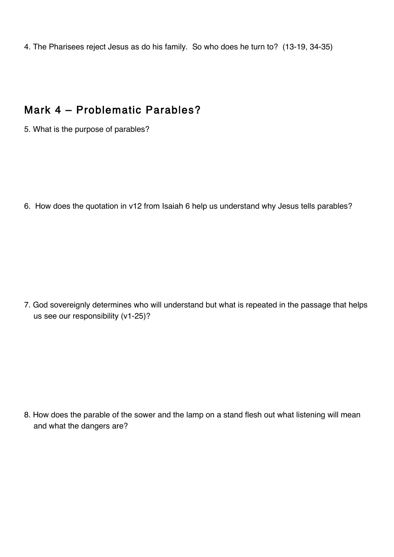4. The Pharisees reject Jesus as do his family. So who does he turn to? (13-19, 34-35)

## Mark 4 – Problematic Parables?

5. What is the purpose of parables?

6. How does the quotation in v12 from Isaiah 6 help us understand why Jesus tells parables?

7. God sovereignly determines who will understand but what is repeated in the passage that helps us see our responsibility (v1-25)?

8. How does the parable of the sower and the lamp on a stand flesh out what listening will mean and what the dangers are?